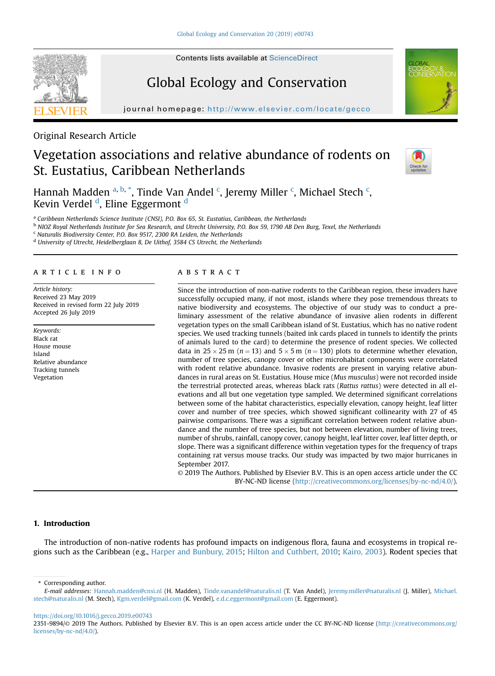# Global Ecology and Conservation

journal homepage: http://www.elsevier.com/locate/gecom/locate/gecom/locate/gecom/locate/gecom/locate/gecom/locate/gec

Original Research Article

# Vegetation associations and relative abundance of rodents on St. Eustatius, Caribbean Netherlands



Hannah Madden <sup>a, b,</sup> \*, Tinde Van Andel <sup>c</sup>, Jeremy Miller <sup>c</sup>, Michael Stech <sup>c</sup>, Kevin Verdel <sup>d</sup>, Eline Eggermont <sup>d</sup>

<sup>a</sup> Caribbean Netherlands Science Institute (CNSI), P.O. Box 65, St. Eustatius, Caribbean, the Netherlands

<sup>b</sup> NIOZ Royal Netherlands Institute for Sea Research, and Utrecht University, P.O. Box 59, 1790 AB Den Burg, Texel, the Netherlands

 $c$  Naturalis Biodiversity Center, P.O. Box 9517, 2300 RA Leiden, the Netherlands

<sup>d</sup> University of Utrecht, Heidelberglaan 8, De Uithof, 3584 CS Utrecht, the Netherlands

#### article info

Article history: Received 23 May 2019 Received in revised form 22 July 2019 Accepted 26 July 2019

Keywords: Black rat House mouse Island Relative abundance Tracking tunnels Vegetation

## **ABSTRACT**

Since the introduction of non-native rodents to the Caribbean region, these invaders have successfully occupied many, if not most, islands where they pose tremendous threats to native biodiversity and ecosystems. The objective of our study was to conduct a preliminary assessment of the relative abundance of invasive alien rodents in different vegetation types on the small Caribbean island of St. Eustatius, which has no native rodent species. We used tracking tunnels (baited ink cards placed in tunnels to identify the prints of animals lured to the card) to determine the presence of rodent species. We collected data in  $25 \times 25$  m (n = 13) and  $5 \times 5$  m (n = 130) plots to determine whether elevation, number of tree species, canopy cover or other microhabitat components were correlated with rodent relative abundance. Invasive rodents are present in varying relative abundances in rural areas on St. Eustatius. House mice (Mus musculus) were not recorded inside the terrestrial protected areas, whereas black rats (Rattus rattus) were detected in all elevations and all but one vegetation type sampled. We determined significant correlations between some of the habitat characteristics, especially elevation, canopy height, leaf litter cover and number of tree species, which showed significant collinearity with 27 of 45 pairwise comparisons. There was a significant correlation between rodent relative abundance and the number of tree species, but not between elevation, number of living trees, number of shrubs, rainfall, canopy cover, canopy height, leaf litter cover, leaf litter depth, or slope. There was a significant difference within vegetation types for the frequency of traps containing rat versus mouse tracks. Our study was impacted by two major hurricanes in September 2017.

© 2019 The Authors. Published by Elsevier B.V. This is an open access article under the CC BY-NC-ND license ([http://creativecommons.org/licenses/by-nc-nd/4.0/\)](http://creativecommons.org/licenses/by-nc-nd/4.0/).

# 1. Introduction

The introduction of non-native rodents has profound impacts on indigenous flora, fauna and ecosystems in tropical regions such as the Caribbean (e.g., [Harper and Bunbury, 2015;](#page-8-0) [Hilton and Cuthbert, 2010;](#page-8-0) [Kairo, 2003\)](#page-8-0). Rodent species that

<https://doi.org/10.1016/j.gecco.2019.e00743>

<sup>\*</sup> Corresponding author.

E-mail addresses: [Hannah.madden@cnsi.nl](mailto:Hannah.madden@cnsi.nl) (H. Madden), [Tinde.vanandel@naturalis.nl](mailto:Tinde.vanandel@naturalis.nl) (T. Van Andel), [Jeremy.miller@naturalis.nl](mailto:Jeremy.miller@naturalis.nl) (J. Miller), [Michael.](mailto:Michael.stech@naturalis.nl) [stech@naturalis.nl](mailto:Michael.stech@naturalis.nl) (M. Stech), [Kgm.verdel@gmail.com](mailto:Kgm.verdel@gmail.com) (K. Verdel), [e.d.c.eggermont@gmail.com](mailto:e.d.c.eggermont@gmail.com) (E. Eggermont).

<sup>2351-9894/© 2019</sup> The Authors. Published by Elsevier B.V. This is an open access article under the CC BY-NC-ND license [\(http://creativecommons.org/](http://creativecommons.org/licenses/by-nc-nd/4.0/) [licenses/by-nc-nd/4.0/](http://creativecommons.org/licenses/by-nc-nd/4.0/)).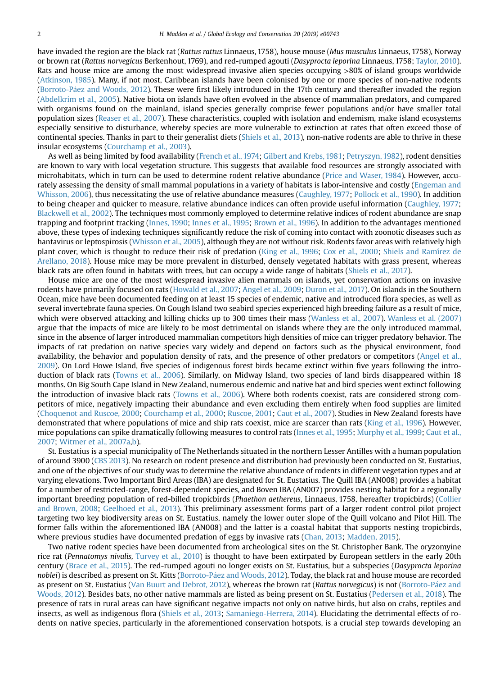have invaded the region are the black rat (Rattus rattus Linnaeus, 1758), house mouse (Mus musculus Linnaeus, 1758), Norway or brown rat (Rattus norvegicus Berkenhout, 1769), and red-rumped agouti (Dasyprocta leporina Linnaeus, 1758; [Taylor, 2010](#page-9-0)). Rats and house mice are among the most widespread invasive alien species occupying >80% of island groups worldwide [\(Atkinson, 1985](#page-7-0)). Many, if not most, Caribbean islands have been colonised by one or more species of non-native rodents (Borroto-Páez and Woods, 2012). These were first likely introduced in the 17th century and thereafter invaded the region [\(Abdelkrim et al., 2005](#page-7-0)). Native biota on islands have often evolved in the absence of mammalian predators, and compared with organisms found on the mainland, island species generally comprise fewer populations and/or have smaller total population sizes [\(Reaser et al., 2007\)](#page-9-0). These characteristics, coupled with isolation and endemism, make island ecosystems especially sensitive to disturbance, whereby species are more vulnerable to extinction at rates that often exceed those of continental species. Thanks in part to their generalist diets ([Shiels et al., 2013](#page-9-0)), non-native rodents are able to thrive in these insular ecosystems ([Courchamp et al., 2003\)](#page-8-0).

As well as being limited by food availability [\(French et al., 1974](#page-8-0); [Gilbert and Krebs, 1981;](#page-8-0) [Petryszyn, 1982\)](#page-8-0), rodent densities are known to vary with local vegetation structure. This suggests that available food resources are strongly associated with microhabitats, which in turn can be used to determine rodent relative abundance ([Price and Waser, 1984](#page-8-0)). However, accurately assessing the density of small mammal populations in a variety of habitats is labor-intensive and costly ([Engeman and](#page-8-0) [Whisson, 2006](#page-8-0)), thus necessitating the use of relative abundance measures ([Caughley, 1977;](#page-7-0) [Pollock et al., 1990](#page-8-0)). In addition to being cheaper and quicker to measure, relative abundance indices can often provide useful information [\(Caughley, 1977;](#page-7-0) [Blackwell et al., 2002\)](#page-7-0). The techniques most commonly employed to determine relative indices of rodent abundance are snap trapping and footprint tracking ([Innes, 1990](#page-8-0); [Innes et al., 1995](#page-8-0); [Brown et al., 1996\)](#page-7-0). In addition to the advantages mentioned above, these types of indexing techniques significantly reduce the risk of coming into contact with zoonotic diseases such as hantavirus or leptospirosis [\(Whisson et al., 2005\)](#page-9-0), although they are not without risk. Rodents favor areas with relatively high plant cover, which is thought to reduce their risk of predation [\(King et al., 1996;](#page-8-0) [Cox et al., 2000;](#page-8-0) [Shiels and Ramírez de](#page-9-0) [Arellano, 2018\)](#page-9-0). House mice may be more prevalent in disturbed, densely vegetated habitats with grass present, whereas black rats are often found in habitats with trees, but can occupy a wide range of habitats [\(Shiels et al., 2017](#page-9-0)).

House mice are one of the most widespread invasive alien mammals on islands, yet conservation actions on invasive rodents have primarily focused on rats [\(Howald et al., 2007](#page-8-0); [Angel et al., 2009](#page-7-0); [Duron et al., 2017](#page-8-0)). On islands in the Southern Ocean, mice have been documented feeding on at least 15 species of endemic, native and introduced flora species, as well as several invertebrate fauna species. On Gough Island two seabird species experienced high breeding failure as a result of mice, which were observed attacking and killing chicks up to 300 times their mass [\(Wanless et al., 2007\)](#page-9-0). [Wanless et al. \(2007\)](#page-9-0) argue that the impacts of mice are likely to be most detrimental on islands where they are the only introduced mammal, since in the absence of larger introduced mammalian competitors high densities of mice can trigger predatory behavior. The impacts of rat predation on native species vary widely and depend on factors such as the physical environment, food availability, the behavior and population density of rats, and the presence of other predators or competitors [\(Angel et al.,](#page-7-0) [2009](#page-7-0)). On Lord Howe Island, five species of indigenous forest birds became extinct within five years following the introduction of black rats [\(Towns et al., 2006\)](#page-9-0). Similarly, on Midway Island, two species of land birds disappeared within 18 months. On Big South Cape Island in New Zealand, numerous endemic and native bat and bird species went extinct following the introduction of invasive black rats ([Towns et al., 2006](#page-9-0)). Where both rodents coexist, rats are considered strong competitors of mice, negatively impacting their abundance and even excluding them entirely when food supplies are limited [\(Choquenot and Ruscoe, 2000](#page-8-0); [Courchamp et al., 2000](#page-8-0); [Ruscoe, 2001;](#page-9-0) [Caut et al., 2007](#page-8-0)). Studies in New Zealand forests have demonstrated that where populations of mice and ship rats coexist, mice are scarcer than rats [\(King et al., 1996](#page-8-0)). However, mice populations can spike dramatically following measures to control rats [\(Innes et al., 1995](#page-8-0); [Murphy et al., 1999](#page-8-0); [Caut et al.,](#page-8-0) [2007](#page-8-0); [Witmer et al., 2007a,b](#page-9-0)).

St. Eustatius is a special municipality of The Netherlands situated in the northern Lesser Antilles with a human population of around 3900 ([CBS 2013](#page-8-0)). No research on rodent presence and distribution had previously been conducted on St. Eustatius, and one of the objectives of our study was to determine the relative abundance of rodents in different vegetation types and at varying elevations. Two Important Bird Areas (IBA) are designated for St. Eustatius. The Quill IBA (AN008) provides a habitat for a number of restricted-range, forest-dependent species, and Boven IBA (AN007) provides nesting habitat for a regionally important breeding population of red-billed tropicbirds (Phaethon aethereus, Linnaeus, 1758, hereafter tropicbirds) ([Collier](#page-8-0) [and Brown, 2008;](#page-8-0) [Geelhoed et al., 2013\)](#page-8-0). This preliminary assessment forms part of a larger rodent control pilot project targeting two key biodiversity areas on St. Eustatius, namely the lower outer slope of the Quill volcano and Pilot Hill. The former falls within the aforementioned IBA (AN008) and the latter is a coastal habitat that supports nesting tropicbirds, where previous studies have documented predation of eggs by invasive rats ([Chan, 2013;](#page-8-0) [Madden, 2015](#page-8-0)).

Two native rodent species have been documented from archeological sites on the St. Christopher Bank. The oryzomyine rice rat (Pennatomys nivalis, [Turvey et al., 2010\)](#page-9-0) is thought to have been extirpated by European settlers in the early 20th century ([Brace et al., 2015](#page-7-0)). The red-rumped agouti no longer exists on St. Eustatius, but a subspecies (Dasyprocta leporina noblei) is described as present on St. Kitts (Borroto-Páez and Woods, 2012). Today, the black rat and house mouse are recorded as present on St. Eustatius [\(Van Buurt and Debrot, 2012\)](#page-9-0), whereas the brown rat (Rattus norvegicus) is not [\(Borroto-P](#page-7-0)á[ez and](#page-7-0) [Woods, 2012\)](#page-7-0). Besides bats, no other native mammals are listed as being present on St. Eustatius [\(Pedersen et al., 2018](#page-8-0)). The presence of rats in rural areas can have significant negative impacts not only on native birds, but also on crabs, reptiles and insects, as well as indigenous flora ([Shiels et al., 2013](#page-9-0); [Samaniego-Herrera, 2014\)](#page-9-0). Elucidating the detrimental effects of rodents on native species, particularly in the aforementioned conservation hotspots, is a crucial step towards developing an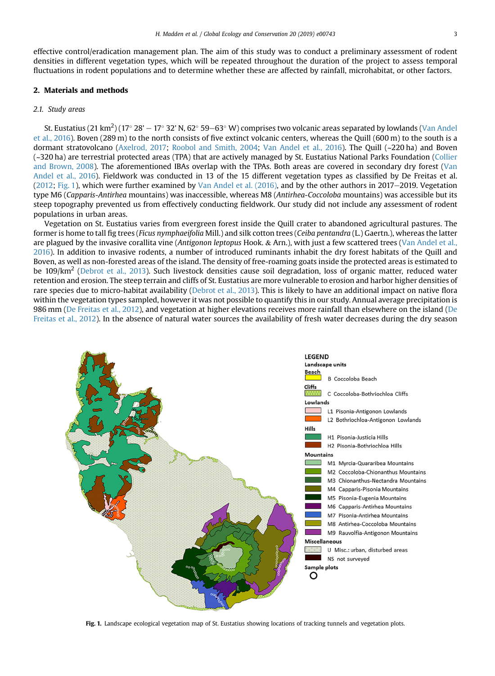effective control/eradication management plan. The aim of this study was to conduct a preliminary assessment of rodent densities in different vegetation types, which will be repeated throughout the duration of the project to assess temporal fluctuations in rodent populations and to determine whether these are affected by rainfall, microhabitat, or other factors.

#### 2. Materials and methods

## 2.1. Study areas

St. Eustatius (21 km $^2$ ) (17° 28' – 17° 32' N, 62° 59–63° W) comprises two volcanic areas separated by lowlands [\(Van Andel](#page-9-0) [et al., 2016](#page-9-0)). Boven (289 m) to the north consists of five extinct volcanic centers, whereas the Quill (600 m) to the south is a dormant stratovolcano [\(Axelrod, 2017](#page-7-0); [Roobol and Smith, 2004](#page-9-0); [Van Andel et al., 2016](#page-9-0)). The Quill (~220 ha) and Boven (~320 ha) are terrestrial protected areas (TPA) that are actively managed by St. Eustatius National Parks Foundation ([Collier](#page-8-0) [and Brown, 2008](#page-8-0)). The aforementioned IBAs overlap with the TPAs. Both areas are covered in secondary dry forest [\(Van](#page-9-0) [Andel et al., 2016](#page-9-0)). Fieldwork was conducted in 13 of the 15 different vegetation types as classified by De Freitas et al.  $(2012; Fig. 1)$  $(2012; Fig. 1)$  $(2012; Fig. 1)$ , which were further examined by Van Andel et al.  $(2016)$ , and by the other authors in 2017–2019. Vegetation type M6 (Capparis-Antirhea mountains) was inaccessible, whereas M8 (Antirhea-Coccoloba mountains) was accessible but its steep topography prevented us from effectively conducting fieldwork. Our study did not include any assessment of rodent populations in urban areas.

Vegetation on St. Eustatius varies from evergreen forest inside the Quill crater to abandoned agricultural pastures. The former is home to tall fig trees (Ficus nymphaeifolia Mill.) and silk cotton trees (Ceiba pentandra (L.) Gaertn.), whereas the latter are plagued by the invasive corallita vine (Antigonon leptopus Hook.  $\&$  Arn.), with just a few scattered trees [\(Van Andel et al.,](#page-9-0) [2016](#page-9-0)). In addition to invasive rodents, a number of introduced ruminants inhabit the dry forest habitats of the Quill and Boven, as well as non-forested areas of the island. The density of free-roaming goats inside the protected areas is estimated to be 109/km<sup>2</sup> [\(Debrot et al., 2013\)](#page-8-0). Such livestock densities cause soil degradation, loss of organic matter, reduced water retention and erosion. The steep terrain and cliffs of St. Eustatius are more vulnerable to erosion and harbor higher densities of rare species due to micro-habitat availability [\(Debrot et al., 2013](#page-8-0)). This is likely to have an additional impact on native flora within the vegetation types sampled, however it was not possible to quantify this in our study. Annual average precipitation is 986 mm [\(De Freitas et al., 2012](#page-8-0)), and vegetation at higher elevations receives more rainfall than elsewhere on the island ([De](#page-8-0) [Freitas et al., 2012\)](#page-8-0). In the absence of natural water sources the availability of fresh water decreases during the dry season



Fig. 1. Landscape ecological vegetation map of St. Eustatius showing locations of tracking tunnels and vegetation plots.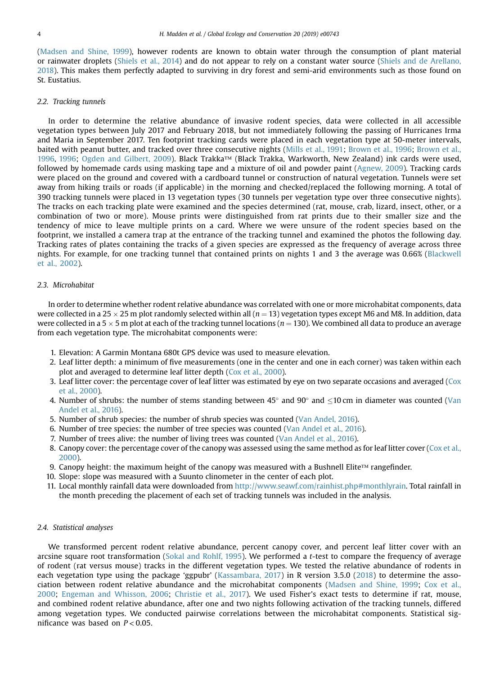[\(Madsen and Shine, 1999\)](#page-8-0), however rodents are known to obtain water through the consumption of plant material or rainwater droplets [\(Shiels et al., 2014](#page-9-0)) and do not appear to rely on a constant water source ([Shiels and de Arellano,](#page-9-0) [2018](#page-9-0)). This makes them perfectly adapted to surviving in dry forest and semi-arid environments such as those found on St. Eustatius.

#### 2.2. Tracking tunnels

In order to determine the relative abundance of invasive rodent species, data were collected in all accessible vegetation types between July 2017 and February 2018, but not immediately following the passing of Hurricanes Irma and Maria in September 2017. Ten footprint tracking cards were placed in each vegetation type at 50-meter intervals, baited with peanut butter, and tracked over three consecutive nights ([Mills et al., 1991;](#page-8-0) [Brown et al., 1996](#page-7-0); [Brown et al.,](#page-7-0) [1996,](#page-7-0) [1996;](#page-7-0) [Ogden and Gilbert, 2009\)](#page-8-0). Black Trakka™ (Black Trakka, Warkworth, New Zealand) ink cards were used, followed by homemade cards using masking tape and a mixture of oil and powder paint ([Agnew, 2009\)](#page-7-0). Tracking cards were placed on the ground and covered with a cardboard tunnel or construction of natural vegetation. Tunnels were set away from hiking trails or roads (if applicable) in the morning and checked/replaced the following morning. A total of 390 tracking tunnels were placed in 13 vegetation types (30 tunnels per vegetation type over three consecutive nights). The tracks on each tracking plate were examined and the species determined (rat, mouse, crab, lizard, insect, other, or a combination of two or more). Mouse prints were distinguished from rat prints due to their smaller size and the tendency of mice to leave multiple prints on a card. Where we were unsure of the rodent species based on the footprint, we installed a camera trap at the entrance of the tracking tunnel and examined the photos the following day. Tracking rates of plates containing the tracks of a given species are expressed as the frequency of average across three nights. For example, for one tracking tunnel that contained prints on nights 1 and 3 the average was 0.66% ([Blackwell](#page-7-0) [et al., 2002\)](#page-7-0).

## 2.3. Microhabitat

In order to determine whether rodent relative abundance was correlated with one or more microhabitat components, data were collected in a 25  $\times$  25 m plot randomly selected within all (n = 13) vegetation types except M6 and M8. In addition, data were collected in a 5  $\times$  5 m plot at each of the tracking tunnel locations ( $n = 130$ ). We combined all data to produce an average from each vegetation type. The microhabitat components were:

- 1. Elevation: A Garmin Montana 680t GPS device was used to measure elevation.
- 2. Leaf litter depth: a minimum of five measurements (one in the center and one in each corner) was taken within each plot and averaged to determine leaf litter depth ([Cox et al., 2000](#page-8-0)).
- 3. Leaf litter cover: the percentage cover of leaf litter was estimated by eye on two separate occasions and averaged [\(Cox](#page-8-0) [et al., 2000](#page-8-0)).
- 4. Number of shrubs: the number of stems standing between  $45^{\circ}$  and  $90^{\circ}$  and  $\lt 10$  cm in diameter was counted ([Van](#page-9-0) [Andel et al., 2016](#page-9-0)).
- 5. Number of shrub species: the number of shrub species was counted [\(Van Andel, 2016](#page-9-0)).
- 6. Number of tree species: the number of tree species was counted [\(Van Andel et al., 2016\)](#page-9-0).
- 7. Number of trees alive: the number of living trees was counted ([Van Andel et al., 2016\)](#page-9-0).
- 8. Canopy cover: the percentage cover of the canopy was assessed using the same method as for leaf litter cover [\(Cox et al.,](#page-8-0) [2000](#page-8-0)).
- 9. Canopy height: the maximum height of the canopy was measured with a Bushnell Elite™ rangefinder.
- 10. Slope: slope was measured with a Suunto clinometer in the center of each plot.
- 11. Local monthly rainfall data were downloaded from [http://www.seawf.com/rainhist.php#monthlyrain.](#page-9-0) Total rainfall in the month preceding the placement of each set of tracking tunnels was included in the analysis.

## 2.4. Statistical analyses

We transformed percent rodent relative abundance, percent canopy cover, and percent leaf litter cover with an arcsine square root transformation [\(Sokal and Rohlf, 1995](#page-9-0)). We performed a t-test to compare the frequency of average of rodent (rat versus mouse) tracks in the different vegetation types. We tested the relative abundance of rodents in each vegetation type using the package 'ggpubr' ([Kassambara, 2017](#page-8-0)) in R version 3.5.0 ([2018\)](#page-8-0) to determine the association between rodent relative abundance and the microhabitat components [\(Madsen and Shine, 1999;](#page-8-0) [Cox et al.,](#page-8-0) [2000;](#page-8-0) [Engeman and Whisson, 2006](#page-8-0); [Christie et al., 2017\)](#page-8-0). We used Fisher's exact tests to determine if rat, mouse, and combined rodent relative abundance, after one and two nights following activation of the tracking tunnels, differed among vegetation types. We conducted pairwise correlations between the microhabitat components. Statistical significance was based on  $P < 0.05$ .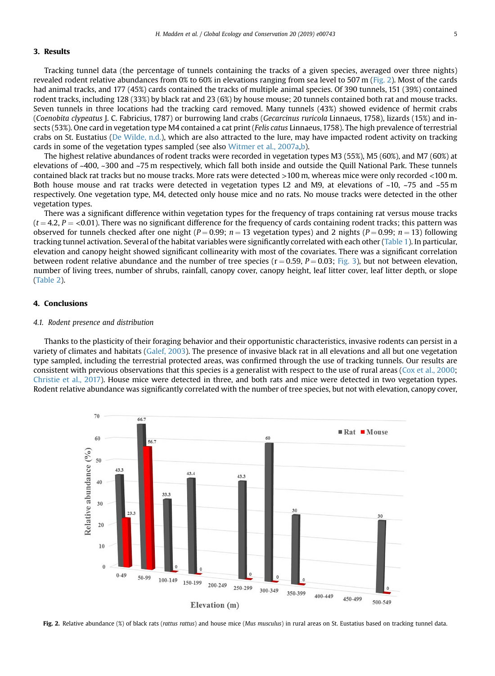### <span id="page-4-0"></span>3. Results

Tracking tunnel data (the percentage of tunnels containing the tracks of a given species, averaged over three nights) revealed rodent relative abundances from 0% to 60% in elevations ranging from sea level to 507 m (Fig. 2). Most of the cards had animal tracks, and 177 (45%) cards contained the tracks of multiple animal species. Of 390 tunnels, 151 (39%) contained rodent tracks, including 128 (33%) by black rat and 23 (6%) by house mouse; 20 tunnels contained both rat and mouse tracks. Seven tunnels in three locations had the tracking card removed. Many tunnels (43%) showed evidence of hermit crabs (Coenobita clypeatus J. C. Fabricius, 1787) or burrowing land crabs (Gecarcinus ruricola Linnaeus, 1758), lizards (15%) and insects (53%). One card in vegetation type M4 contained a cat print (Felis catus Linnaeus, 1758). The high prevalence of terrestrial crabs on St. Eustatius ([De Wilde, n.d.](#page-8-0)), which are also attracted to the lure, may have impacted rodent activity on tracking cards in some of the vegetation types sampled (see also [Witmer et al., 2007a](#page-9-0),[b\)](#page-9-0).

The highest relative abundances of rodent tracks were recorded in vegetation types M3 (55%), M5 (60%), and M7 (60%) at elevations of ~400, ~300 and ~75 m respectively, which fall both inside and outside the Quill National Park. These tunnels contained black rat tracks but no mouse tracks. More rats were detected >100 m, whereas mice were only recorded <100 m. Both house mouse and rat tracks were detected in vegetation types L2 and M9, at elevations of  $\sim$ 10,  $\sim$ 75 and  $\sim$ 55 m respectively. One vegetation type, M4, detected only house mice and no rats. No mouse tracks were detected in the other vegetation types.

There was a significant difference within vegetation types for the frequency of traps containing rat versus mouse tracks  $(t = 4.2, P = <0.01)$ . There was no significant difference for the frequency of cards containing rodent tracks; this pattern was observed for tunnels checked after one night ( $P = 0.99$ ;  $n = 13$  vegetation types) and 2 nights ( $P = 0.99$ ;  $n = 13$ ) following tracking tunnel activation. Several of the habitat variables were significantly correlated with each other [\(Table 1](#page-5-0)). In particular, elevation and canopy height showed significant collinearity with most of the covariates. There was a significant correlation between rodent relative abundance and the number of tree species ( $r = 0.59$ ,  $P = 0.03$ ; [Fig. 3](#page-5-0)), but not between elevation, number of living trees, number of shrubs, rainfall, canopy cover, canopy height, leaf litter cover, leaf litter depth, or slope ([Table 2\)](#page-5-0).

#### 4. Conclusions

#### 4.1. Rodent presence and distribution

Thanks to the plasticity of their foraging behavior and their opportunistic characteristics, invasive rodents can persist in a variety of climates and habitats [\(Galef, 2003](#page-8-0)). The presence of invasive black rat in all elevations and all but one vegetation type sampled, including the terrestrial protected areas, was confirmed through the use of tracking tunnels. Our results are consistent with previous observations that this species is a generalist with respect to the use of rural areas ([Cox et al., 2000](#page-8-0); [Christie et al., 2017\)](#page-8-0). House mice were detected in three, and both rats and mice were detected in two vegetation types. Rodent relative abundance was significantly correlated with the number of tree species, but not with elevation, canopy cover,



Fig. 2. Relative abundance (%) of black rats (rattus rattus) and house mice (Mus musculus) in rural areas on St. Eustatius based on tracking tunnel data.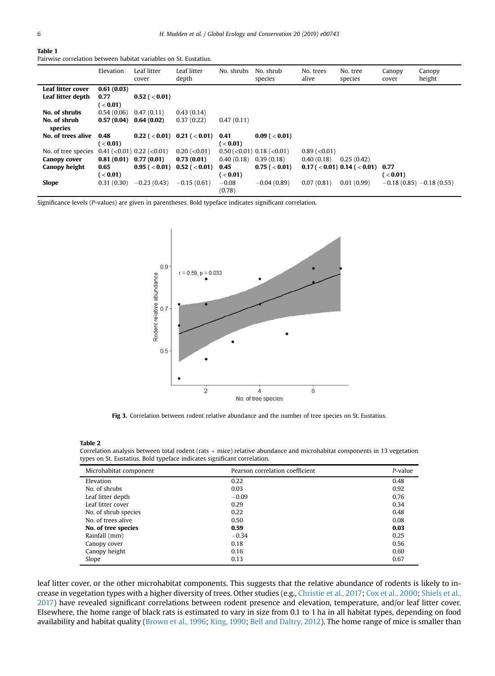#### <span id="page-5-0"></span>Table 1

Pairwise correlation between habitat variables on St. Eustatius.

|                     | Elevation       | Leaf litter<br>cover                                                                     | Leaf litter<br>depth                    | No. shrubs   | No. shrub<br>species             | No. trees<br>alive | No. tree<br>species                  | Canopy<br>cover | Canopy<br>height          |
|---------------------|-----------------|------------------------------------------------------------------------------------------|-----------------------------------------|--------------|----------------------------------|--------------------|--------------------------------------|-----------------|---------------------------|
| Leaf litter cover   | 0.61(0.03)      |                                                                                          |                                         |              |                                  |                    |                                      |                 |                           |
| Leaf litter depth   | 0.77            | $0.52$ ( $< 0.01$ )                                                                      |                                         |              |                                  |                    |                                      |                 |                           |
|                     | ( <b>0.01</b> ) |                                                                                          |                                         |              |                                  |                    |                                      |                 |                           |
| No. of shrubs       | 0.54(0.06)      | 0.47(0.11)                                                                               | 0.43(0.14)                              |              |                                  |                    |                                      |                 |                           |
| No. of shrub        | 0.57(0.04)      | 0.64(0.02)                                                                               | 0.37(0.22)                              | 0.47(0.11)   |                                  |                    |                                      |                 |                           |
| species             |                 |                                                                                          |                                         |              |                                  |                    |                                      |                 |                           |
| No. of trees alive  | 0.48            |                                                                                          | $0.22$ ( $< 0.01$ ) $0.21$ ( $< 0.01$ ) | 0.41         | $0.09$ ( $< 0.01$ )              |                    |                                      |                 |                           |
|                     | ( <b>0.01</b> ) |                                                                                          |                                         | $\sim$ 0.01) |                                  |                    |                                      |                 |                           |
| No. of tree species |                 | $0.41 \left( \langle 0.01 \rangle 0.22 \left( \langle 0.01 \rangle 0.01 \right) \right)$ | $0.20$ (< $0.01$ )                      |              | $0.50 \, (<0.01)$ 0.18 $(<0.01)$ | $0.89$ (< $0.01$ ) |                                      |                 |                           |
| Canopy cover        | 0.81(0.01)      | 0.77(0.01)                                                                               | 0.73(0.01)                              | 0.40(0.18)   | 0.39(0.18)                       | 0.40(0.18)         | 0.25(0.42)                           |                 |                           |
| Canopy height       | 0.65            | $0.95$ ( $< 0.01$ )                                                                      | $0.52$ ( $< 0.01$ )                     | 0.45         | $0.75$ ( $< 0.01$ )              |                    | $0.17$ ( < 0.01) 0.14 ( < 0.01) 0.77 |                 |                           |
|                     | ( <b>0.01</b> ) |                                                                                          |                                         | $\leq$ 0.01) |                                  |                    |                                      | ( <b>0.01</b> ) |                           |
| Slope               | 0.31(0.30)      | $-0.23(0.43)$                                                                            | $-0.15(0.61)$                           | $-0.08$      | $-0.04(0.89)$                    | 0.07(0.81)         | 0.01(0.99)                           |                 | $-0.18(0.85) -0.18(0.55)$ |
|                     |                 |                                                                                          |                                         | (0.78)       |                                  |                    |                                      |                 |                           |

Significance levels (P-values) are given in parentheses. Bold typeface indicates significant correlation.



Fig 3. Correlation between rodent relative abundance and the number of tree species on St. Eustatius.

#### Table 2

Correlation analysis between total rodent (rats  $+$  mice) relative abundance and microhabitat components in 13 vegetation types on St. Eustatius. Bold typeface indicates significant correlation.

| Microhabitat component | Pearson correlation coefficient | $P$ -value |
|------------------------|---------------------------------|------------|
| Elevation              | 0.22                            | 0.48       |
| No. of shrubs          | 0.03                            | 0.92       |
| Leaf litter depth      | $-0.09$                         | 0.76       |
| Leaf litter cover      | 0.29                            | 0.34       |
| No. of shrub species   | 0.22                            | 0.48       |
| No. of trees alive     | 0.50                            | 0.08       |
| No. of tree species    | 0.59                            | 0.03       |
| Rainfall (mm)          | $-0.34$                         | 0.25       |
| Canopy cover           | 0.18                            | 0.56       |
| Canopy height          | 0.16                            | 0.60       |
| Slope                  | 0.13                            | 0.67       |

leaf litter cover, or the other microhabitat components. This suggests that the relative abundance of rodents is likely to increase in vegetation types with a higher diversity of trees. Other studies (e.g., [Christie et al., 2017](#page-8-0); [Cox et al., 2000](#page-8-0); [Shiels et al.,](#page-9-0) [2017](#page-9-0)) have revealed significant correlations between rodent presence and elevation, temperature, and/or leaf litter cover. Elsewhere, the home range of black rats is estimated to vary in size from 0.1 to 1 ha in all habitat types, depending on food availability and habitat quality [\(Brown et al., 1996;](#page-7-0) [King, 1990](#page-8-0); [Bell and Daltry, 2012\)](#page-7-0). The home range of mice is smaller than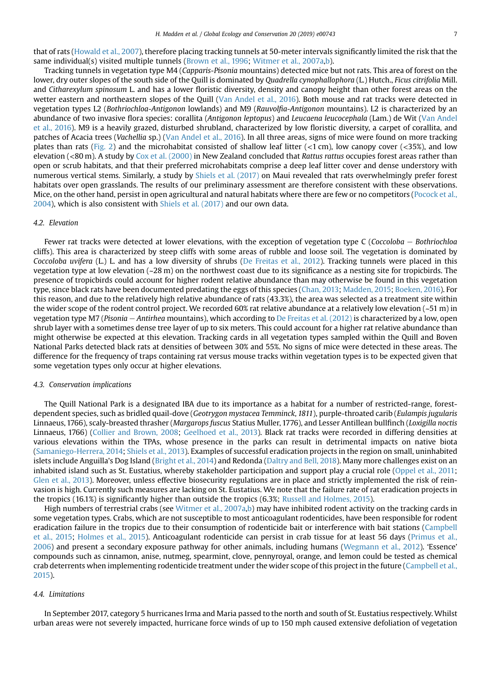that of rats ([Howald et al., 2007\)](#page-8-0), therefore placing tracking tunnels at 50-meter intervals significantly limited the risk that the same individual(s) visited multiple tunnels [\(Brown et al., 1996;](#page-7-0) [Witmer et al., 2007a,b\)](#page-9-0).

Tracking tunnels in vegetation type M4 (Capparis-Pisonia mountains) detected mice but not rats. This area of forest on the lower, dry outer slopes of the south side of the Quill is dominated by Quadrella cynophallophora (L.) Hutch., Ficus citrifolia Mill. and Citharexylum spinosum L. and has a lower floristic diversity, density and canopy height than other forest areas on the wetter eastern and northeastern slopes of the Quill ([Van Andel et al., 2016](#page-9-0)). Both mouse and rat tracks were detected in vegetation types L2 (Bothriochloa-Antigonon lowlands) and M9 (Rauvolfia-Antigonon mountains). L2 is characterized by an abundance of two invasive flora species: corallita (Antigonon leptopus) and Leucaena leucocephala (Lam.) de Wit ([Van Andel](#page-9-0) [et al., 2016](#page-9-0)). M9 is a heavily grazed, disturbed shrubland, characterized by low floristic diversity, a carpet of corallita, and patches of Acacia trees (Vachellia sp.) [\(Van Andel et al., 2016\)](#page-9-0). In all three areas, signs of mice were found on more tracking plates than rats [\(Fig. 2](#page-4-0)) and the microhabitat consisted of shallow leaf litter (<1 cm), low canopy cover (<35%), and low elevation (<80 m). A study by [Cox et al. \(2000\)](#page-8-0) in New Zealand concluded that Rattus rattus occupies forest areas rather than open or scrub habitats, and that their preferred microhabitats comprise a deep leaf litter cover and dense understory with numerous vertical stems. Similarly, a study by [Shiels et al. \(2017\)](#page-9-0) on Maui revealed that rats overwhelmingly prefer forest habitats over open grasslands. The results of our preliminary assessment are therefore consistent with these observations. Mice, on the other hand, persist in open agricultural and natural habitats where there are few or no competitors ([Pocock et al.,](#page-8-0) [2004](#page-8-0)), which is also consistent with [Shiels et al. \(2017\)](#page-9-0) and our own data.

#### 4.2. Elevation

Fewer rat tracks were detected at lower elevations, with the exception of vegetation type C (Coccoloba  $-$  Bothriochloa cliffs). This area is characterized by steep cliffs with some areas of rubble and loose soil. The vegetation is dominated by Coccoloba uvifera (L.) L. and has a low diversity of shrubs [\(De Freitas et al., 2012](#page-8-0)). Tracking tunnels were placed in this vegetation type at low elevation (~28 m) on the northwest coast due to its significance as a nesting site for tropicbirds. The presence of tropicbirds could account for higher rodent relative abundance than may otherwise be found in this vegetation type, since black rats have been documented predating the eggs of this species ([Chan, 2013;](#page-8-0) [Madden, 2015](#page-8-0); [Boeken, 2016](#page-7-0)). For this reason, and due to the relatively high relative abundance of rats (43.3%), the area was selected as a treatment site within the wider scope of the rodent control project. We recorded 60% rat relative abundance at a relatively low elevation  $(-51 \text{ m})$  in vegetation type M7 (Pisonia – Antirhea mountains), which according to [De Freitas et al. \(2012\)](#page-8-0) is characterized by a low, open shrub layer with a sometimes dense tree layer of up to six meters. This could account for a higher rat relative abundance than might otherwise be expected at this elevation. Tracking cards in all vegetation types sampled within the Quill and Boven National Parks detected black rats at densities of between 30% and 55%. No signs of mice were detected in these areas. The difference for the frequency of traps containing rat versus mouse tracks within vegetation types is to be expected given that some vegetation types only occur at higher elevations.

#### 4.3. Conservation implications

The Quill National Park is a designated IBA due to its importance as a habitat for a number of restricted-range, forestdependent species, such as bridled quail-dove (Geotrygon mystacea Temminck, 1811), purple-throated carib (Eulampis jugularis Linnaeus, 1766), scaly-breasted thrasher (Margarops fuscus Statius Muller, 1776), and Lesser Antillean bullfinch (Loxigilla noctis Linnaeus, 1766) [\(Collier and Brown, 2008](#page-8-0); [Geelhoed et al., 2013](#page-8-0)). Black rat tracks were recorded in differing densities at various elevations within the TPAs, whose presence in the parks can result in detrimental impacts on native biota ([Samaniego-Herrera, 2014](#page-9-0); [Shiels et al., 2013](#page-9-0)). Examples of successful eradication projects in the region on small, uninhabited islets include Anguilla's Dog Island ([Bright et al., 2014](#page-7-0)) and Redonda ([Daltry and Bell, 2018](#page-8-0)). Many more challenges exist on an inhabited island such as St. Eustatius, whereby stakeholder participation and support play a crucial role ([Oppel et al., 2011](#page-8-0); [Glen et al., 2013](#page-8-0)). Moreover, unless effective biosecurity regulations are in place and strictly implemented the risk of reinvasion is high. Currently such measures are lacking on St. Eustatius. We note that the failure rate of rat eradication projects in the tropics (16.1%) is significantly higher than outside the tropics (6.3%; [Russell and Holmes, 2015](#page-9-0)).

High numbers of terrestrial crabs (see [Witmer et al., 2007a,b\)](#page-9-0) may have inhibited rodent activity on the tracking cards in some vegetation types. Crabs, which are not susceptible to most anticoagulant rodenticides, have been responsible for rodent eradication failure in the tropics due to their consumption of rodenticide bait or interference with bait stations ([Campbell](#page-8-0) [et al., 2015](#page-8-0); [Holmes et al., 2015](#page-8-0)). Anticoagulant rodenticide can persist in crab tissue for at least 56 days [\(Primus et al.,](#page-8-0) [2006](#page-8-0)) and present a secondary exposure pathway for other animals, including humans [\(Wegmann et al., 2012\)](#page-9-0). 'Essence' compounds such as cinnamon, anise, nutmeg, spearmint, clove, pennyroyal, orange, and lemon could be tested as chemical crab deterrents when implementing rodenticide treatment under the wider scope of this project in the future ([Campbell et al.,](#page-8-0) [2015](#page-8-0)).

#### 4.4. Limitations

In September 2017, category 5 hurricanes Irma and Maria passed to the north and south of St. Eustatius respectively. Whilst urban areas were not severely impacted, hurricane force winds of up to 150 mph caused extensive defoliation of vegetation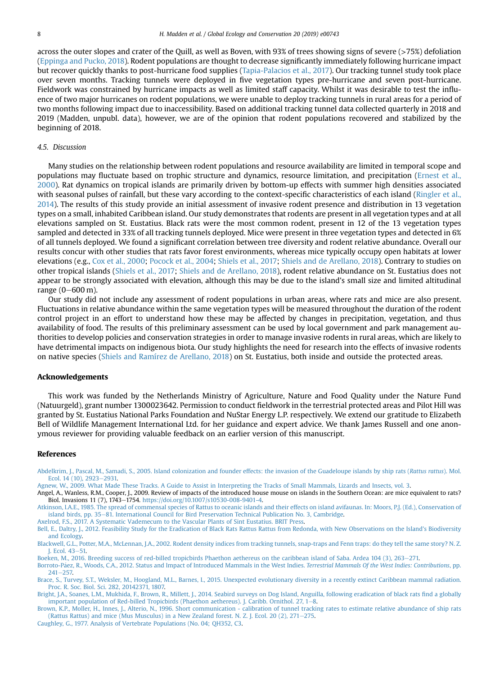<span id="page-7-0"></span>across the outer slopes and crater of the Quill, as well as Boven, with 93% of trees showing signs of severe (>75%) defoliation [\(Eppinga and Pucko, 2018\)](#page-8-0). Rodent populations are thought to decrease significantly immediately following hurricane impact but recover quickly thanks to post-hurricane food supplies ([Tapia-Palacios et al., 2017](#page-9-0)). Our tracking tunnel study took place over seven months. Tracking tunnels were deployed in five vegetation types pre-hurricane and seven post-hurricane. Fieldwork was constrained by hurricane impacts as well as limited staff capacity. Whilst it was desirable to test the influence of two major hurricanes on rodent populations, we were unable to deploy tracking tunnels in rural areas for a period of two months following impact due to inaccessibility. Based on additional tracking tunnel data collected quarterly in 2018 and 2019 (Madden, unpubl. data), however, we are of the opinion that rodent populations recovered and stabilized by the beginning of 2018.

#### 4.5. Discussion

Many studies on the relationship between rodent populations and resource availability are limited in temporal scope and populations may fluctuate based on trophic structure and dynamics, resource limitation, and precipitation [\(Ernest et al.,](#page-8-0) [2000\)](#page-8-0). Rat dynamics on tropical islands are primarily driven by bottom-up effects with summer high densities associated with seasonal pulses of rainfall, but these vary according to the context-specific characteristics of each island ([Ringler et al.,](#page-9-0) [2014](#page-9-0)). The results of this study provide an initial assessment of invasive rodent presence and distribution in 13 vegetation types on a small, inhabited Caribbean island. Our study demonstrates that rodents are present in all vegetation types and at all elevations sampled on St. Eustatius. Black rats were the most common rodent, present in 12 of the 13 vegetation types sampled and detected in 33% of all tracking tunnels deployed. Mice were present in three vegetation types and detected in 6% of all tunnels deployed. We found a significant correlation between tree diversity and rodent relative abundance. Overall our results concur with other studies that rats favor forest environments, whereas mice typically occupy open habitats at lower elevations (e.g., [Cox et al., 2000](#page-8-0); [Pocock et al., 2004;](#page-8-0) [Shiels et al., 2017;](#page-9-0) [Shiels and de Arellano, 2018](#page-9-0)). Contrary to studies on other tropical islands ([Shiels et al., 2017](#page-9-0); [Shiels and de Arellano, 2018\)](#page-9-0), rodent relative abundance on St. Eustatius does not appear to be strongly associated with elevation, although this may be due to the island's small size and limited altitudinal range  $(0 - 600 \,\mathrm{m})$ .

Our study did not include any assessment of rodent populations in urban areas, where rats and mice are also present. Fluctuations in relative abundance within the same vegetation types will be measured throughout the duration of the rodent control project in an effort to understand how these may be affected by changes in precipitation, vegetation, and thus availability of food. The results of this preliminary assessment can be used by local government and park management authorities to develop policies and conservation strategies in order to manage invasive rodents in rural areas, which are likely to have detrimental impacts on indigenous biota. Our study highlights the need for research into the effects of invasive rodents on native species ([Shiels and Ramírez de Arellano, 2018](#page-9-0)) on St. Eustatius, both inside and outside the protected areas.

#### Acknowledgements

This work was funded by the Netherlands Ministry of Agriculture, Nature and Food Quality under the Nature Fund (Natuurgeld), grant number 1300023642. Permission to conduct fieldwork in the terrestrial protected areas and Pilot Hill was granted by St. Eustatius National Parks Foundation and NuStar Energy L.P. respectively. We extend our gratitude to Elizabeth Bell of Wildlife Management International Ltd. for her guidance and expert advice. We thank James Russell and one anonymous reviewer for providing valuable feedback on an earlier version of this manuscript.

#### References

[Abdelkrim, J., Pascal, M., Samadi, S., 2005. Island colonization and founder effects: the invasion of the Guadeloupe islands by ship rats \(](http://refhub.elsevier.com/S2351-9894(19)30275-6/sref1)Rattus rattus). Mol. [Ecol. 14 \(10\), 2923](http://refhub.elsevier.com/S2351-9894(19)30275-6/sref1)-[2931.](http://refhub.elsevier.com/S2351-9894(19)30275-6/sref1)

[Agnew, W., 2009. What Made These Tracks. A Guide to Assist in Interpreting the Tracks of Small Mammals, Lizards and Insects, vol. 3.](http://refhub.elsevier.com/S2351-9894(19)30275-6/sref2)

Angel, A., Wanless, R.M., Cooper, J., 2009. Review of impacts of the introduced house mouse on islands in the Southern Ocean: are mice equivalent to rats? Biol. Invasions 11 (7), 1743-1754. <https://doi.org/10.1007/s10530-008-9401-4>.

[Atkinson, I.A.E., 1985. The spread of commensal species of Rattus to oceanic islands and their effects on island avifaunas. In: Moors, P.J. \(Ed.\), Conservation of](http://refhub.elsevier.com/S2351-9894(19)30275-6/sref81) [island birds, pp. 35](http://refhub.elsevier.com/S2351-9894(19)30275-6/sref81)-[81. International Council for Bird Preservation Technical Publication No. 3, Cambridge.](http://refhub.elsevier.com/S2351-9894(19)30275-6/sref81)

[Axelrod, F.S., 2017. A Systematic Vademecum to the Vascular Plants of Sint Eustatius. BRIT Press](http://refhub.elsevier.com/S2351-9894(19)30275-6/sref4).

[Bell, E., Daltry, J., 2012. Feasibility Study for the Eradication of Black Rats Rattus Rattus from Redonda, with New Observations on the Island's Biodiversity](http://refhub.elsevier.com/S2351-9894(19)30275-6/sref5) [and Ecology.](http://refhub.elsevier.com/S2351-9894(19)30275-6/sref5)

[Blackwell, G.L., Potter, M.A., McLennan, J.A., 2002. Rodent density indices from tracking tunnels, snap-traps and Fenn traps: do they tell the same story? N. Z.](http://refhub.elsevier.com/S2351-9894(19)30275-6/sref6) I. Ecol. 43-[51.](http://refhub.elsevier.com/S2351-9894(19)30275-6/sref6)

[Boeken, M., 2016. Breeding success of red-billed tropicbirds Phaethon aethereus on the caribbean island of Saba. Ardea 104 \(3\), 263](http://refhub.elsevier.com/S2351-9894(19)30275-6/sref7)-[271.](http://refhub.elsevier.com/S2351-9894(19)30275-6/sref7)

[Borroto-P](http://refhub.elsevier.com/S2351-9894(19)30275-6/sref8)á[ez, R., Woods, C.A., 2012. Status and Impact of Introduced Mammals in the West Indies.](http://refhub.elsevier.com/S2351-9894(19)30275-6/sref8) Terrestrial Mammals Of the West Indies: Contributions, pp.  $241 - 257$  $241 - 257$ .

[Brace, S., Turvey, S.T., Weksler, M., Hoogland, M.L., Barnes, I., 2015. Unexpected evolutionary diversity in a recently extinct Caribbean mammal radiation.](http://refhub.elsevier.com/S2351-9894(19)30275-6/sref9) [Proc. R. Soc. Biol. Sci. 282, 20142371, 1807.](http://refhub.elsevier.com/S2351-9894(19)30275-6/sref9)

[Bright, J.A., Soanes, L.M., Mukhida, F., Brown, R., Millett, J., 2014. Seabird surveys on Dog Island, Anguilla, following eradication of black rats](http://refhub.elsevier.com/S2351-9894(19)30275-6/sref10) find a globally [important population of Red-billed Tropicbirds \(Phaethon aethereus\). J. Caribb. Ornithol. 27, 1](http://refhub.elsevier.com/S2351-9894(19)30275-6/sref10)-[8.](http://refhub.elsevier.com/S2351-9894(19)30275-6/sref10)

[Brown, K.P., Moller, H., Innes, J., Alterio, N., 1996. Short communication - calibration of tunnel tracking rates to estimate relative abundance of ship rats](http://refhub.elsevier.com/S2351-9894(19)30275-6/sref11) (Rattus Rattus) and mice (Mus Musculus) in a New Zealand forest.

[Caughley, G., 1977. Analysis of Vertebrate Populations \(No. 04; QH352, C3.](http://refhub.elsevier.com/S2351-9894(19)30275-6/sref12)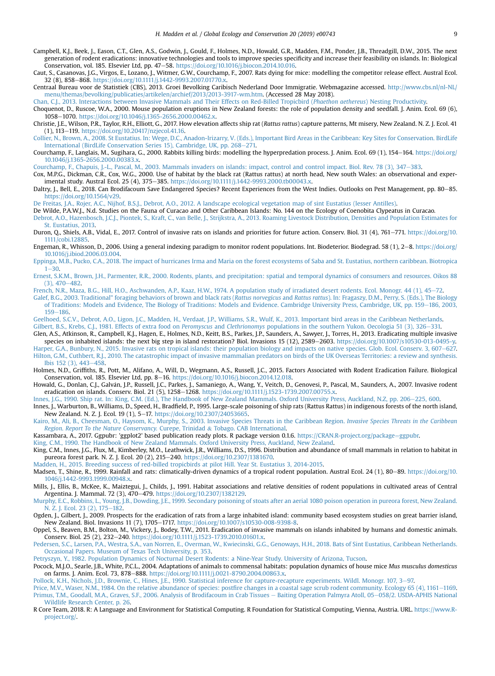- <span id="page-8-0"></span>Campbell, K.J., Beek, J., Eason, C.T., Glen, A.S., Godwin, J., Gould, F., Holmes, N.D., Howald, G.R., Madden, F.M., Ponder, J.B., Threadgill, D.W., 2015. The next generation of rodent eradications: innovative technologies and tools to improve species specificity and increase their feasibility on islands. In: Biological Conservation, vol. 185. Elsevier Ltd, pp. 47–58. [https://doi.org/10.1016/j.biocon.2014.10.016.](https://doi.org/10.1016/j.biocon.2014.10.016)
- Caut, S., Casanovas, J.G., Virgos, E., Lozano, J., Witmer, G.W., Courchamp, F., 2007. Rats dying for mice: modelling the competitor release effect. Austral Ecol. 32 (8), 858-868. [https://doi.org/10.1111/j.1442-9993.2007.01770.x.](https://doi.org/10.1111/j.1442-9993.2007.01770.x)
- Centraal Bureau voor de Statistiek (CBS), 2013. Groei Bevolking Caribisch Nederland Door Immigratie. Webmagazine accessed. [http://www.cbs.nl/nl-NL/](http://www.cbs.nl/nl-NL/menu/themas/bevolking/publicaties/artikelen/archief/2013/2013-3917-wm.htm) [menu/themas/bevolking/publicaties/artikelen/archief/2013/2013-3917-wm.htm.](http://www.cbs.nl/nl-NL/menu/themas/bevolking/publicaties/artikelen/archief/2013/2013-3917-wm.htm) (Accessed 28 May 2018).

[Chan, C.J., 2013. Interactions between Invasive Mammals and Their Effects on Red-Billed Tropicbird \(](http://refhub.elsevier.com/S2351-9894(19)30275-6/sref16)Phaethon aethereus) Nesting Productivity.

- Choquenot, D., Ruscoe, W.A., 2000. Mouse population eruptions in New Zealand forests: the role of population density and seedfall. J. Anim. Ecol. 69 (6), 1058-1070. [https://doi.org/10.1046/j.1365-2656.2000.00462.x.](https://doi.org/10.1046/j.1365-2656.2000.00462.x)
- Christie, J.E., Wilson, P.R., Taylor, R.H., Elliott, G., 2017. How elevation affects ship rat (Rattus rattus) capture patterns, Mt misery, New Zealand. N. Z. J. Ecol. 41 (1), 113-119. [https://doi.org/10.20417/nzjecol.41.16.](https://doi.org/10.20417/nzjecol.41.16)
- [Collier, N., Brown, A., 2008. St Eustatius. In: Wege, D.C., Anadon-Irizarry, V. \(Eds.\), Important Bird Areas in the Caribbean: Key Sites for Conservation. BirdLife](http://refhub.elsevier.com/S2351-9894(19)30275-6/sref19) [International \(BirdLife Conservation Series 15\), Cambridge, UK, pp. 268](http://refhub.elsevier.com/S2351-9894(19)30275-6/sref19)-[271.](http://refhub.elsevier.com/S2351-9894(19)30275-6/sref19)
- Courchamp, F., Langlais, M., Sugihara, G., 2000. Rabbits killing birds: modelling the hyperpredation process. J. Anim. Ecol. 69 (1), 154-164. [https://doi.org/](https://doi.org/10.1046/j.1365-2656.2000.00383.x) [10.1046/j.1365-2656.2000.00383.x.](https://doi.org/10.1046/j.1365-2656.2000.00383.x)
- [Courchamp, F., Chapuis, J.-L., Pascal, M., 2003. Mammals invaders on islands: impact, control and control impact. Biol. Rev. 78 \(3\), 347](http://refhub.elsevier.com/S2351-9894(19)30275-6/sref21)-[383](http://refhub.elsevier.com/S2351-9894(19)30275-6/sref21).
- Cox, M.P.G., Dickman, C.R., Cox, W.G., 2000. Use of habitat by the black rat (Rattus rattus) at north head, New south Wales: an observational and experimental study. Austral Ecol. 25 (4), 375-385. [https://doi.org/10.1111/j.1442-9993.2000.tb00043.x.](https://doi.org/10.1111/j.1442-9993.2000.tb00043.x)
- Daltry, J., Bell, E., 2018. Can Brodifacoum Save Endangered Species? Recent Experiences from the West Indies. Outlooks on Pest Management, pp. 80-85. <https://doi.org/10.1564/v29>.
- [De Freitas, J.A., Rojer, A.C., Nijhof, B.S.J., Debrot, A.O., 2012. A landscape ecological vegetation map of sint Eustatius \(lesser Antilles\).](http://refhub.elsevier.com/S2351-9894(19)30275-6/sref24)
- De Wilde, P.A.W.J., N.d. Studies on the Fauna of Curacao and Other Caribbean Islands: No. 144 on the Ecology of Coenobita Clypeatus in Curacao.
- [Debrot, A.O., Hazenbosch, J.C.J., Piontek, S., Kraft, C., van Belle, J., Strijkstra, A., 2013. Roaming Livestock Distribution, Densities and Population Estimates for](http://refhub.elsevier.com/S2351-9894(19)30275-6/sref26) [St. Eustatius, 2013](http://refhub.elsevier.com/S2351-9894(19)30275-6/sref26).
- Duron, Q., Shiels, A.B., Vidal, E., 2017. Control of invasive rats on islands and priorities for future action. Conserv. Biol. 31 (4), 761-771. [https://doi.org/10.](https://doi.org/10.1111/cobi.12885) [1111/cobi.12885](https://doi.org/10.1111/cobi.12885).
- Engeman, R., Whisson, D., 2006. Using a general indexing paradigm to monitor rodent populations. Int. Biodeterior. Biodegrad. 58 (1), 2-8. [https://doi.org/](https://doi.org/10.1016/j.ibiod.2006.03.004) [10.1016/j.ibiod.2006.03.004.](https://doi.org/10.1016/j.ibiod.2006.03.004)
- [Eppinga, M.B., Pucko, C.A., 2018. The impact of hurricanes Irma and Maria on the forest ecosystems of Saba and St. Eustatius, northern caribbean. Biotropica](http://refhub.elsevier.com/S2351-9894(19)30275-6/sref29)  $1 - 30.$  $1 - 30.$  $1 - 30.$
- [Ernest, S.K.M., Brown, J.H., Parmenter, R.R., 2000. Rodents, plants, and precipitation: spatial and temporal dynamics of consumers and resources.](http://refhub.elsevier.com/S2351-9894(19)30275-6/sref30) Oikos 88  $(3), 470 - 482$  $(3), 470 - 482$
- [French, N.R., Maza, B.G., Hill, H.O., Aschwanden, A.P., Kaaz, H.W., 1974. A population study of irradiated desert rodents. Ecol. Monogr. 44 \(1\), 45](http://refhub.elsevier.com/S2351-9894(19)30275-6/sref31)-[72.](http://refhub.elsevier.com/S2351-9894(19)30275-6/sref31)
- Galef, B.G., 2003. Traditional" foraging behaviors of brown and black rats (Rattus norvegicus and Rattus rattus[\). In: Fragaszy, D.M., Perry, S. \(Eds.\), The Biology](http://refhub.elsevier.com/S2351-9894(19)30275-6/sref32) [of Traditions: Models and Evidence, The Biology of Traditions: Models and Evidence. Cambridge University Press, Cambridge, UK, pp. 159](http://refhub.elsevier.com/S2351-9894(19)30275-6/sref32)–[186, 2003,](http://refhub.elsevier.com/S2351-9894(19)30275-6/sref32) [159](http://refhub.elsevier.com/S2351-9894(19)30275-6/sref32)-[186](http://refhub.elsevier.com/S2351-9894(19)30275-6/sref32)
- [Geelhoed, S.C.V., Debrot, A.O., Ligon, J.C., Madden, H., Verdaat, J.P., Williams, S.R., Wulf, K., 2013. Important bird areas in the Caribbean Netherlands.](http://refhub.elsevier.com/S2351-9894(19)30275-6/sref33)
- Gilbert, B.S., Krebs, C.J., 1981. Effects of extra food on Peromyscus and Clethrionomys [populations in the southern Yukon. Oecologia 51 \(3\), 326](http://refhub.elsevier.com/S2351-9894(19)30275-6/sref34)-[331.](http://refhub.elsevier.com/S2351-9894(19)30275-6/sref34)
- Glen, A.S., Atkinson, R., Campbell, K.J., Hagen, E., Holmes, N.D., Keitt, B.S., Parkes, J.P., Saunders, A., Sawyer, J., Torres, H., 2013. Eradicating multiple invasive species on inhabited islands: the next big step in island restoration? Biol. Invasions 15 (12), 2589-2603. [https://doi.org/10.1007/s10530-013-0495-y.](https://doi.org/10.1007/s10530-013-0495-y)
- [Harper, G.A., Bunbury, N., 2015. Invasive rats on tropical islands: their population biology and impacts on native species. Glob. Ecol. Conserv. 3, 607](http://refhub.elsevier.com/S2351-9894(19)30275-6/sref36)-[627.](http://refhub.elsevier.com/S2351-9894(19)30275-6/sref36) [Hilton, G.M., Cuthbert, R.J., 2010. The catastrophic impact of invasive mammalian predators on birds of the UK Overseas Territories: a review and synthesis.](http://refhub.elsevier.com/S2351-9894(19)30275-6/sref37) [Ibis 152 \(3\), 443](http://refhub.elsevier.com/S2351-9894(19)30275-6/sref37)-[458](http://refhub.elsevier.com/S2351-9894(19)30275-6/sref37).
- Holmes, N.D., Griffiths, R., Pott, M., Alifano, A., Will, D., Wegmann, A.S., Russell, J.C., 2015. Factors Associated with Rodent Eradication Failure. Biological Conservation, vol. 185. Elsevier Ltd, pp. 8-16. https://doi.org/10.1016/j.biocon.2014.12.018
- Howald, G., Donlan, C.J., Galván, J.P., Russell, J.C., Parkes, J., Samaniego, A., Wang, Y., Veitch, D., Genovesi, P., Pascal, M., Saunders, A., 2007. Invasive rodent eradication on islands. Conserv. Biol. 21 (5), 1258-1268. <https://doi.org/10.1111/j.1523-1739.2007.00755.x>.
- [Innes, J.G., 1990. Ship rat. In: King, C.M. \(Ed.\), The Handbook of New Zealand Mammals. Oxford University Press, Auckland, N.Z, pp. 206](http://refhub.elsevier.com/S2351-9894(19)30275-6/sref40)-[225, 600](http://refhub.elsevier.com/S2351-9894(19)30275-6/sref40).
- Innes, J., Warburton, B., Williams, D., Speed, H., Bradfield, P., 1995. Large-scale poisoning of ship rats (Rattus Rattus) in indigenous forests of the north island, New Zealand. N. Z. J. Ecol. 19 (1), 5-17. <https://doi.org/10.2307/24053665>.
- [Kairo, M., Ali, B., Cheesman, O., Haysom, K., Murphy, S., 2003. Invasive Species Threats in the Caribbean Region.](http://refhub.elsevier.com/S2351-9894(19)30275-6/sref42) Invasive Species Threats in the Caribbean Region. [Report To the Nature Conservancy.](http://refhub.elsevier.com/S2351-9894(19)30275-6/sref42) Curepe, Trinidad & [Tobago. CAB International](http://refhub.elsevier.com/S2351-9894(19)30275-6/sref42).
- Kassambara, A., 2017. Ggpubr: 'ggplot2' based publication ready plots. R package version 0.1.6. [https://CRAN.R-project.org/package](https://CRAN.R-project.org/package=ggpubr)=[ggpubr.](https://CRAN.R-project.org/package=ggpubr)
- [King, C.M., 1990. The Handbook of New Zealand Mammals. Oxford University Press, Auckland, New Zealand.](http://refhub.elsevier.com/S2351-9894(19)30275-6/sref44)
- King, C.M., Innes, J.G., Flux, M., Kimberley, M.O., Leathwick, J.R., Williams, D.S., 1996. Distribution and abundance of small mammals in relation to habitat in pureora forest park. N. Z. J. Ecol. 20 (2), 215-240. <https://doi.org/10.2307/1381670>.
- [Madden, H., 2015. Breeding success of red-billed tropicbirds at pilot Hill. Year St. Eustatius 3, 2014-2015](http://refhub.elsevier.com/S2351-9894(19)30275-6/sref46).
- Madsen, T., Shine, R., 1999. Rainfall and rats: climatically-driven dynamics of a tropical rodent population. Austral Ecol. 24 (1), 80-89. [https://doi.org/10.](https://doi.org/10.1046/j.1442-9993.1999.00948.x) [1046/j.1442-9993.1999.00948.x.](https://doi.org/10.1046/j.1442-9993.1999.00948.x)
- Mills, J., Ellis, B., McKee, K., Maiztegui, J., Childs, J., 1991. Habitat associations and relative densities of rodent populations in cultivated areas of Central Argentina. J. Mammal. 72 (3), 470-479. <https://doi.org/10.2307/1382129>.
- [Murphy, E.C., Robbins, L., Young, J.B., Dowding, J.E., 1999. Secondary poisoning of stoats after an aerial 1080 poison operation in pureora forest, New Zealand.](http://refhub.elsevier.com/S2351-9894(19)30275-6/sref49) [N. Z. J. Ecol. 23 \(2\), 175](http://refhub.elsevier.com/S2351-9894(19)30275-6/sref49)-[182.](http://refhub.elsevier.com/S2351-9894(19)30275-6/sref49)
- Ogden, J., Gilbert, J., 2009. Prospects for the eradication of rats from a large inhabited island: community based ecosystem studies on great barrier island, New Zealand. Biol. Invasions 11 (7), 1705-1717. <https://doi.org/10.1007/s10530-008-9398-8>.
- Oppel, S., Beaven, B.M., Bolton, M., Vickery, J., Bodey, T.W., 2011. Eradication of invasive mammals on islands inhabited by humans and domestic animals. Conserv. Biol. 25 (2), 232-240. <https://doi.org/10.1111/j.1523-1739.2010.01601.x>.
- [Pedersen, S.C., Larsen, P.A., Westra, S.A., van Norren, E., Overman, W., Kwiecinski, G.G., Genoways, H.H., 2018. Bats of Sint Eustatius, Caribbean Netherlands.](http://refhub.elsevier.com/S2351-9894(19)30275-6/sref52) [Occasional Papers. Museum of Texas Tech University, p. 353.](http://refhub.elsevier.com/S2351-9894(19)30275-6/sref52)
- [Petryszyn, Y., 1982. Population Dynamics of Nocturnal Desert Rodents: a Nine-Year Study. University of Arizona, Tucson](http://refhub.elsevier.com/S2351-9894(19)30275-6/sref53).
- Pocock, M.J.O., Searle, J.B., White, P.C.L., 2004. Adaptations of animals to commensal habitats: population dynamics of house mice Mus musculus domesticus on farms. J. Anim. Ecol. 73, 878-888. <https://doi.org/10.1111/j.0021-8790.2004.00863.x>.
- [Pollock, K.H., Nichols, J.D., Brownie, C., Hines, J.E., 1990. Statistical inference for capture-recapture experiments. Wildl. Monogr. 107, 3](http://refhub.elsevier.com/S2351-9894(19)30275-6/sref55)-[97.](http://refhub.elsevier.com/S2351-9894(19)30275-6/sref55)
- Price, M.V., Waser, N.M., 1984. On the relative abundance of species: postfi[re changes in a coastal sage scrub rodent community. Ecology 65 \(4\), 1161](http://refhub.elsevier.com/S2351-9894(19)30275-6/sref56)-[1169.](http://refhub.elsevier.com/S2351-9894(19)30275-6/sref56) [Primus, T.M., Goodall, M.A., Graves, S.F., 2006. Analysis of Brodifacoum in Crab Tissues](http://refhub.elsevier.com/S2351-9894(19)30275-6/sref57) - [Baiting Operation Palmyra Atoll, 05](http://refhub.elsevier.com/S2351-9894(19)30275-6/sref57)-[058/2. USDA-APHIS National](http://refhub.elsevier.com/S2351-9894(19)30275-6/sref57) [Wildlife Research Center, p. 26.](http://refhub.elsevier.com/S2351-9894(19)30275-6/sref57)
- R Core Team, 2018. R: A Language and Environment for Statistical Computing. R Foundation for Statistical Computing, Vienna, Austria. URL. [https://www.R](https://www.R-project.org/)[project.org/.](https://www.R-project.org/)